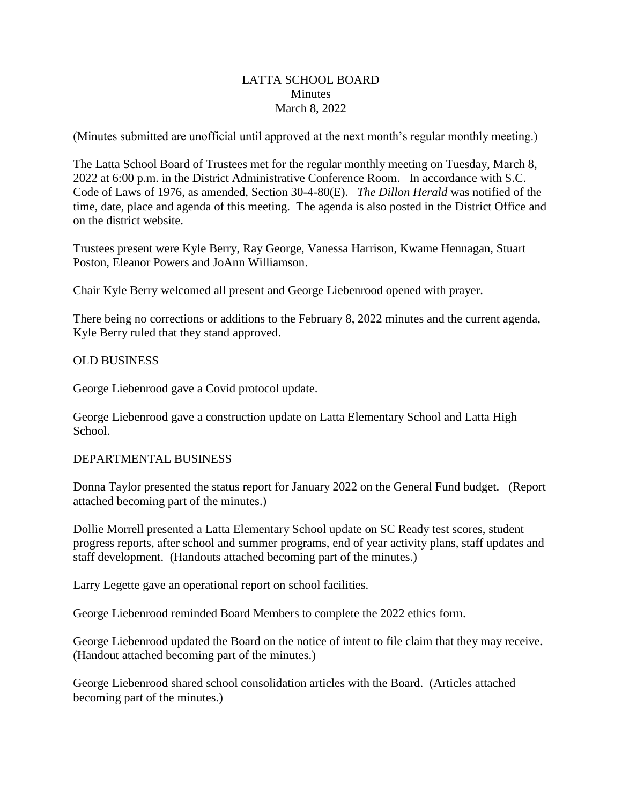# LATTA SCHOOL BOARD **Minutes** March 8, 2022

(Minutes submitted are unofficial until approved at the next month's regular monthly meeting.)

The Latta School Board of Trustees met for the regular monthly meeting on Tuesday, March 8, 2022 at 6:00 p.m. in the District Administrative Conference Room. In accordance with S.C. Code of Laws of 1976, as amended, Section 30-4-80(E). *The Dillon Herald* was notified of the time, date, place and agenda of this meeting. The agenda is also posted in the District Office and on the district website.

Trustees present were Kyle Berry, Ray George, Vanessa Harrison, Kwame Hennagan, Stuart Poston, Eleanor Powers and JoAnn Williamson.

Chair Kyle Berry welcomed all present and George Liebenrood opened with prayer.

There being no corrections or additions to the February 8, 2022 minutes and the current agenda, Kyle Berry ruled that they stand approved.

# OLD BUSINESS

George Liebenrood gave a Covid protocol update.

George Liebenrood gave a construction update on Latta Elementary School and Latta High School.

#### DEPARTMENTAL BUSINESS

Donna Taylor presented the status report for January 2022 on the General Fund budget. (Report attached becoming part of the minutes.)

Dollie Morrell presented a Latta Elementary School update on SC Ready test scores, student progress reports, after school and summer programs, end of year activity plans, staff updates and staff development. (Handouts attached becoming part of the minutes.)

Larry Legette gave an operational report on school facilities.

George Liebenrood reminded Board Members to complete the 2022 ethics form.

George Liebenrood updated the Board on the notice of intent to file claim that they may receive. (Handout attached becoming part of the minutes.)

George Liebenrood shared school consolidation articles with the Board. (Articles attached becoming part of the minutes.)